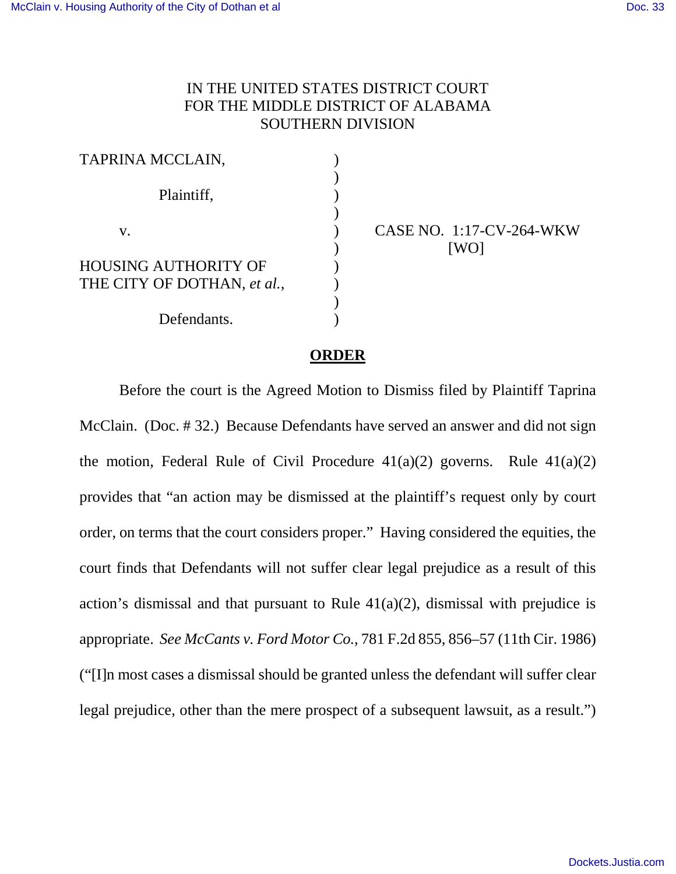## IN THE UNITED STATES DISTRICT COURT FOR THE MIDDLE DISTRICT OF ALABAMA SOUTHERN DIVISION

| TAPRINA MCCLAIN,            |  |
|-----------------------------|--|
| Plaintiff,                  |  |
| ${\bf V}_\perp$             |  |
| HOUSING AUTHORITY OF        |  |
| THE CITY OF DOTHAN, et al., |  |
|                             |  |
| Defendants.                 |  |

CASE NO. 1:17-CV-264-WKW [WO]

## **ORDER**

Before the court is the Agreed Motion to Dismiss filed by Plaintiff Taprina McClain. (Doc. # 32.) Because Defendants have served an answer and did not sign the motion, Federal Rule of Civil Procedure  $41(a)(2)$  governs. Rule  $41(a)(2)$ provides that "an action may be dismissed at the plaintiff's request only by court order, on terms that the court considers proper." Having considered the equities, the court finds that Defendants will not suffer clear legal prejudice as a result of this action's dismissal and that pursuant to Rule  $41(a)(2)$ , dismissal with prejudice is appropriate. *See McCants v. Ford Motor Co.*, 781 F.2d 855, 856–57 (11th Cir. 1986) ("[I]n most cases a dismissal should be granted unless the defendant will suffer clear legal prejudice, other than the mere prospect of a subsequent lawsuit, as a result.")